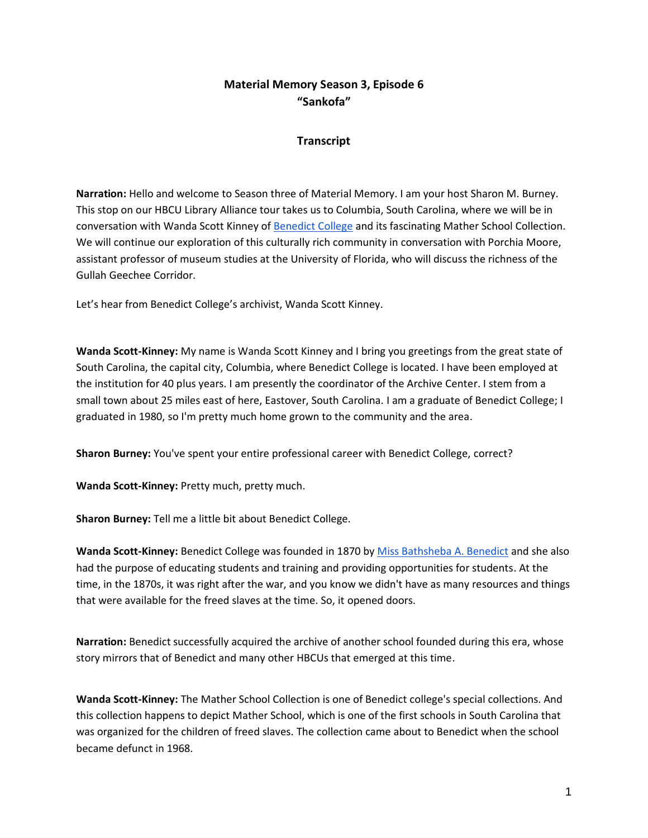# **Material Memory Season 3, Episode 6 "Sankofa"**

### **Transcript**

**Narration:** Hello and welcome to Season three of Material Memory. I am your host Sharon M. Burney. This stop on our HBCU Library Alliance tour takes us to Columbia, South Carolina, where we will be in conversation with Wanda Scott Kinney of [Benedict College](https://www.benedict.edu/) and its fascinating Mather School Collection. We will continue our exploration of this culturally rich community in conversation with Porchia Moore, assistant professor of museum studies at the University of Florida, who will discuss the richness of the Gullah Geechee Corridor.

Let's hear from Benedict College's archivist, Wanda Scott Kinney.

**Wanda Scott-Kinney:** My name is Wanda Scott Kinney and I bring you greetings from the great state of South Carolina, the capital city, Columbia, where Benedict College is located. I have been employed at the institution for 40 plus years. I am presently the coordinator of the Archive Center. I stem from a small town about 25 miles east of here, Eastover, South Carolina. I am a graduate of Benedict College; I graduated in 1980, so I'm pretty much home grown to the community and the area.

**Sharon Burney:** You've spent your entire professional career with Benedict College, correct?

**Wanda Scott-Kinney:** Pretty much, pretty much.

**Sharon Burney:** Tell me a little bit about Benedict College.

**Wanda Scott-Kinney:** Benedict College was founded in 1870 by [Miss Bathsheba A. Benedict](https://www.benedict.edu/bathsheba-a-benedict/) and she also had the purpose of educating students and training and providing opportunities for students. At the time, in the 1870s, it was right after the war, and you know we didn't have as many resources and things that were available for the freed slaves at the time. So, it opened doors.

**Narration:** Benedict successfully acquired the archive of another school founded during this era, whose story mirrors that of Benedict and many other HBCUs that emerged at this time.

**Wanda Scott-Kinney:** The Mather School Collection is one of Benedict college's special collections. And this collection happens to depict Mather School, which is one of the first schools in South Carolina that was organized for the children of freed slaves. The collection came about to Benedict when the school became defunct in 1968.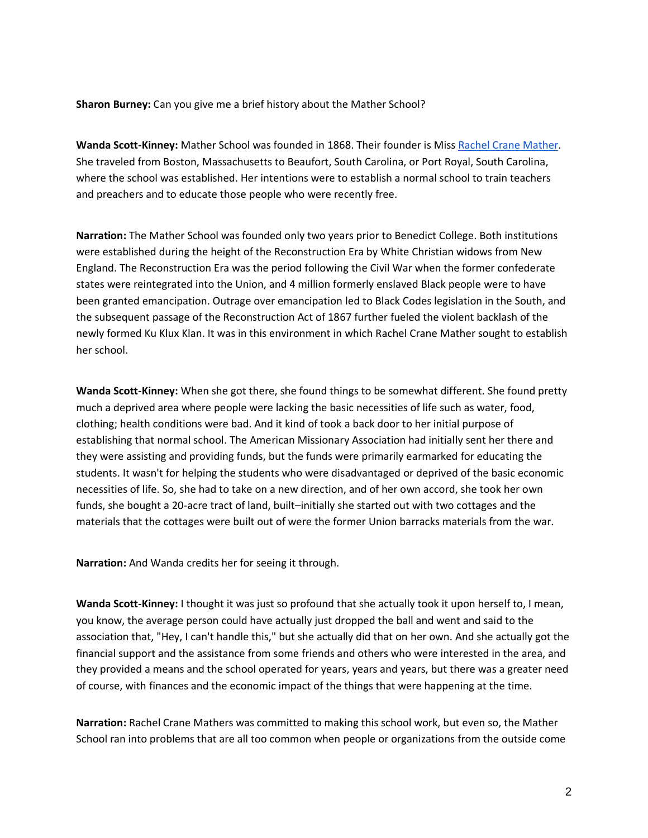**Sharon Burney:** Can you give me a brief history about the Mather School?

**Wanda Scott-Kinney:** Mather School was founded in 1868. Their founder is Miss [Rachel Crane Mather.](http://beaufortlifestyle.com/2020/04/02/the-mather-school-of-beaufort/) She traveled from Boston, Massachusetts to Beaufort, South Carolina, or Port Royal, South Carolina, where the school was established. Her intentions were to establish a normal school to train teachers and preachers and to educate those people who were recently free.

**Narration:** The Mather School was founded only two years prior to Benedict College. Both institutions were established during the height of the Reconstruction Era by White Christian widows from New England. The Reconstruction Era was the period following the Civil War when the former confederate states were reintegrated into the Union, and 4 million formerly enslaved Black people were to have been granted emancipation. Outrage over emancipation led to Black Codes legislation in the South, and the subsequent passage of the Reconstruction Act of 1867 further fueled the violent backlash of the newly formed Ku Klux Klan. It was in this environment in which Rachel Crane Mather sought to establish her school.

**Wanda Scott-Kinney:** When she got there, she found things to be somewhat different. She found pretty much a deprived area where people were lacking the basic necessities of life such as water, food, clothing; health conditions were bad. And it kind of took a back door to her initial purpose of establishing that normal school. The American Missionary Association had initially sent her there and they were assisting and providing funds, but the funds were primarily earmarked for educating the students. It wasn't for helping the students who were disadvantaged or deprived of the basic economic necessities of life. So, she had to take on a new direction, and of her own accord, she took her own funds, she bought a 20-acre tract of land, built–initially she started out with two cottages and the materials that the cottages were built out of were the former Union barracks materials from the war.

**Narration:** And Wanda credits her for seeing it through.

**Wanda Scott-Kinney:** I thought it was just so profound that she actually took it upon herself to, I mean, you know, the average person could have actually just dropped the ball and went and said to the association that, "Hey, I can't handle this," but she actually did that on her own. And she actually got the financial support and the assistance from some friends and others who were interested in the area, and they provided a means and the school operated for years, years and years, but there was a greater need of course, with finances and the economic impact of the things that were happening at the time.

**Narration:** Rachel Crane Mathers was committed to making this school work, but even so, the Mather School ran into problems that are all too common when people or organizations from the outside come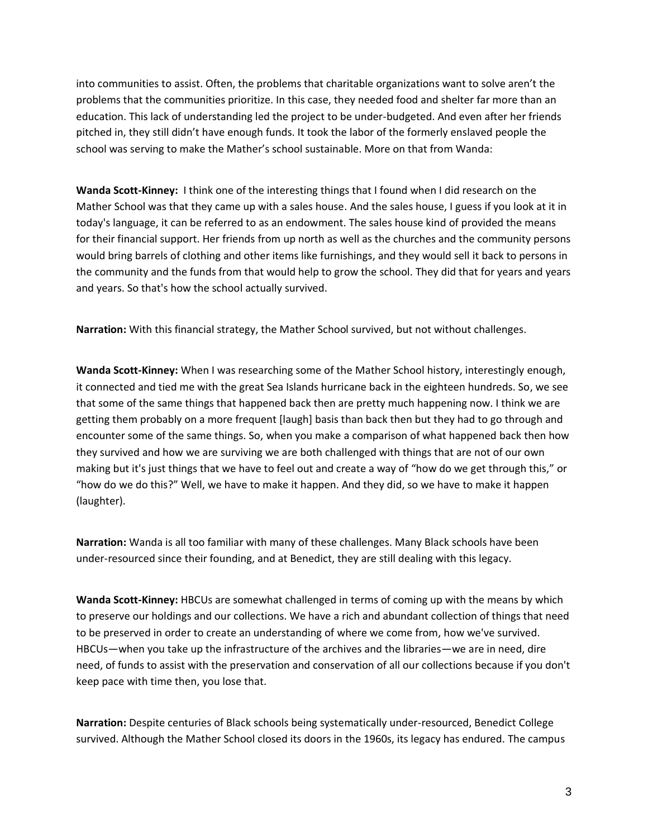into communities to assist. Often, the problems that charitable organizations want to solve aren't the problems that the communities prioritize. In this case, they needed food and shelter far more than an education. This lack of understanding led the project to be under-budgeted. And even after her friends pitched in, they still didn't have enough funds. It took the labor of the formerly enslaved people the school was serving to make the Mather's school sustainable. More on that from Wanda:

**Wanda Scott-Kinney:** I think one of the interesting things that I found when I did research on the Mather School was that they came up with a sales house. And the sales house, I guess if you look at it in today's language, it can be referred to as an endowment. The sales house kind of provided the means for their financial support. Her friends from up north as well as the churches and the community persons would bring barrels of clothing and other items like furnishings, and they would sell it back to persons in the community and the funds from that would help to grow the school. They did that for years and years and years. So that's how the school actually survived.

**Narration:** With this financial strategy, the Mather School survived, but not without challenges.

**Wanda Scott-Kinney:** When I was researching some of the Mather School history, interestingly enough, it connected and tied me with the great Sea Islands hurricane back in the eighteen hundreds. So, we see that some of the same things that happened back then are pretty much happening now. I think we are getting them probably on a more frequent [laugh] basis than back then but they had to go through and encounter some of the same things. So, when you make a comparison of what happened back then how they survived and how we are surviving we are both challenged with things that are not of our own making but it's just things that we have to feel out and create a way of "how do we get through this," or "how do we do this?" Well, we have to make it happen. And they did, so we have to make it happen (laughter).

**Narration:** Wanda is all too familiar with many of these challenges. Many Black schools have been under-resourced since their founding, and at Benedict, they are still dealing with this legacy.

**Wanda Scott-Kinney:** HBCUs are somewhat challenged in terms of coming up with the means by which to preserve our holdings and our collections. We have a rich and abundant collection of things that need to be preserved in order to create an understanding of where we come from, how we've survived. HBCUs—when you take up the infrastructure of the archives and the libraries—we are in need, dire need, of funds to assist with the preservation and conservation of all our collections because if you don't keep pace with time then, you lose that.

**Narration:** Despite centuries of Black schools being systematically under-resourced, Benedict College survived. Although the Mather School closed its doors in the 1960s, its legacy has endured. The campus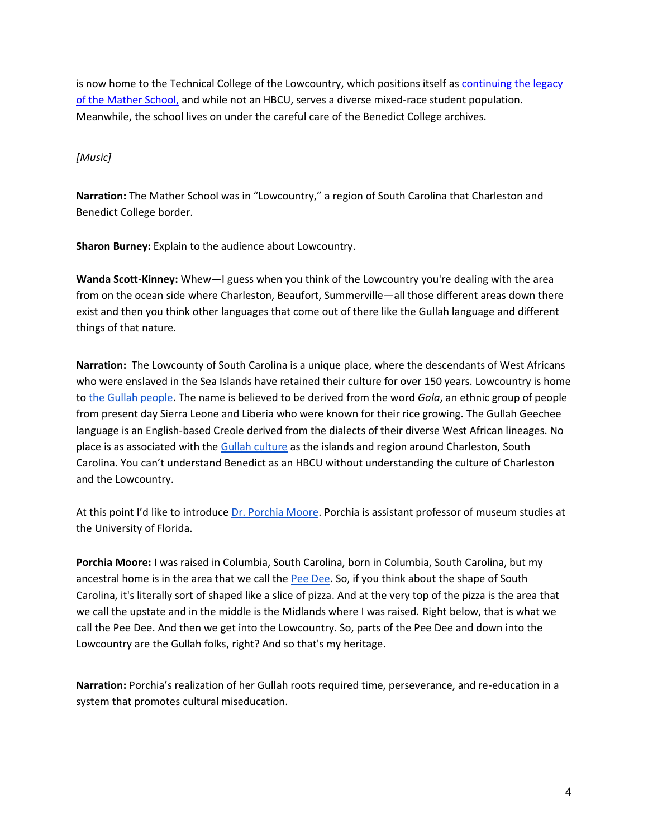is now home to the Technical College of the Lowcountry, which positions itself as [continuing the legacy](https://www.tcl.edu/about-tcl/alumni/the-mather-school/)  [of the Mather School,](https://www.tcl.edu/about-tcl/alumni/the-mather-school/) and while not an HBCU, serves a diverse mixed-race student population. Meanwhile, the school lives on under the careful care of the Benedict College archives.

### *[Music]*

**Narration:** The Mather School was in "Lowcountry," a region of South Carolina that Charleston and Benedict College border.

**Sharon Burney:** Explain to the audience about Lowcountry.

**Wanda Scott-Kinney:** Whew—I guess when you think of the Lowcountry you're dealing with the area from on the ocean side where Charleston, Beaufort, Summerville—all those different areas down there exist and then you think other languages that come out of there like the Gullah language and different things of that nature.

**Narration:** The Lowcounty of South Carolina is a unique place, where the descendants of West Africans who were enslaved in the Sea Islands have retained their culture for over 150 years. Lowcountry is home to [the Gullah people.](https://en.wikipedia.org/wiki/Gullahhttps:/en.wikipedia.org/wiki/Gullah) The name is believed to be derived from the word *Gola*, an ethnic group of people from present day Sierra Leone and Liberia who were known for their rice growing. The Gullah Geechee language is an English-based Creole derived from the dialects of their diverse West African lineages. No place is as associated with the [Gullah culture](https://gullahgeecheecorridor.org/) as the islands and region around Charleston, South Carolina. You can't understand Benedict as an HBCU without understanding the culture of Charleston and the Lowcountry.

At this point I'd like to introduce [Dr. Porchia Moore.](https://drporchiamoore.com/) Porchia is assistant professor of museum studies at the University of Florida.

**Porchia Moore:** I was raised in Columbia, South Carolina, born in Columbia, South Carolina, but my ancestral home is in the area that we call the [Pee Dee.](https://en.wikipedia.org/wiki/Pee_Dee) So, if you think about the shape of South Carolina, it's literally sort of shaped like a slice of pizza. And at the very top of the pizza is the area that we call the upstate and in the middle is the Midlands where I was raised. Right below, that is what we call the Pee Dee. And then we get into the Lowcountry. So, parts of the Pee Dee and down into the Lowcountry are the Gullah folks, right? And so that's my heritage.

**Narration:** Porchia's realization of her Gullah roots required time, perseverance, and re-education in a system that promotes cultural miseducation.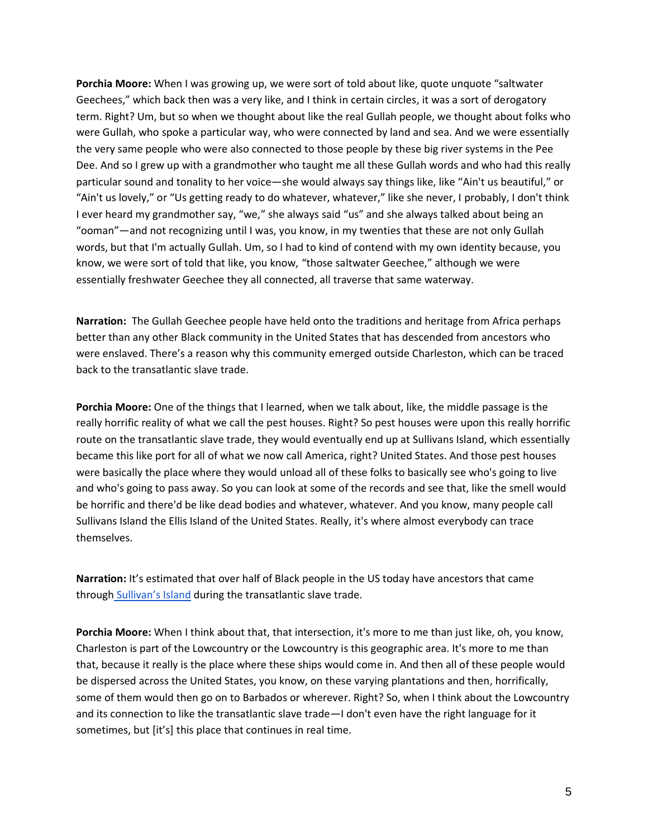**Porchia Moore:** When I was growing up, we were sort of told about like, quote unquote "saltwater Geechees," which back then was a very like, and I think in certain circles, it was a sort of derogatory term. Right? Um, but so when we thought about like the real Gullah people, we thought about folks who were Gullah, who spoke a particular way, who were connected by land and sea. And we were essentially the very same people who were also connected to those people by these big river systems in the Pee Dee. And so I grew up with a grandmother who taught me all these Gullah words and who had this really particular sound and tonality to her voice—she would always say things like, like "Ain't us beautiful," or "Ain't us lovely," or "Us getting ready to do whatever, whatever," like she never, I probably, I don't think I ever heard my grandmother say, "we," she always said "us" and she always talked about being an "ooman"—and not recognizing until I was, you know, in my twenties that these are not only Gullah words, but that I'm actually Gullah. Um, so I had to kind of contend with my own identity because, you know, we were sort of told that like, you know, "those saltwater Geechee," although we were essentially freshwater Geechee they all connected, all traverse that same waterway.

**Narration:** The Gullah Geechee people have held onto the traditions and heritage from Africa perhaps better than any other Black community in the United States that has descended from ancestors who were enslaved. There's a reason why this community emerged outside Charleston, which can be traced back to the transatlantic slave trade.

**Porchia Moore:** One of the things that I learned, when we talk about, like, the middle passage is the really horrific reality of what we call the pest houses. Right? So pest houses were upon this really horrific route on the transatlantic slave trade, they would eventually end up at Sullivans Island, which essentially became this like port for all of what we now call America, right? United States. And those pest houses were basically the place where they would unload all of these folks to basically see who's going to live and who's going to pass away. So you can look at some of the records and see that, like the smell would be horrific and there'd be like dead bodies and whatever, whatever. And you know, many people call Sullivans Island the Ellis Island of the United States. Really, it's where almost everybody can trace themselves.

**Narration:** It's estimated that over half of Black people in the US today have ancestors that came through [Sullivan's Island](https://en.wikipedia.org/wiki/Sullivan%27s_Island,_South_Carolina#cite_note-Morekis-10) during the transatlantic slave trade.

**Porchia Moore:** When I think about that, that intersection, it's more to me than just like, oh, you know, Charleston is part of the Lowcountry or the Lowcountry is this geographic area. It's more to me than that, because it really is the place where these ships would come in. And then all of these people would be dispersed across the United States, you know, on these varying plantations and then, horrifically, some of them would then go on to Barbados or wherever. Right? So, when I think about the Lowcountry and its connection to like the transatlantic slave trade—I don't even have the right language for it sometimes, but [it's] this place that continues in real time.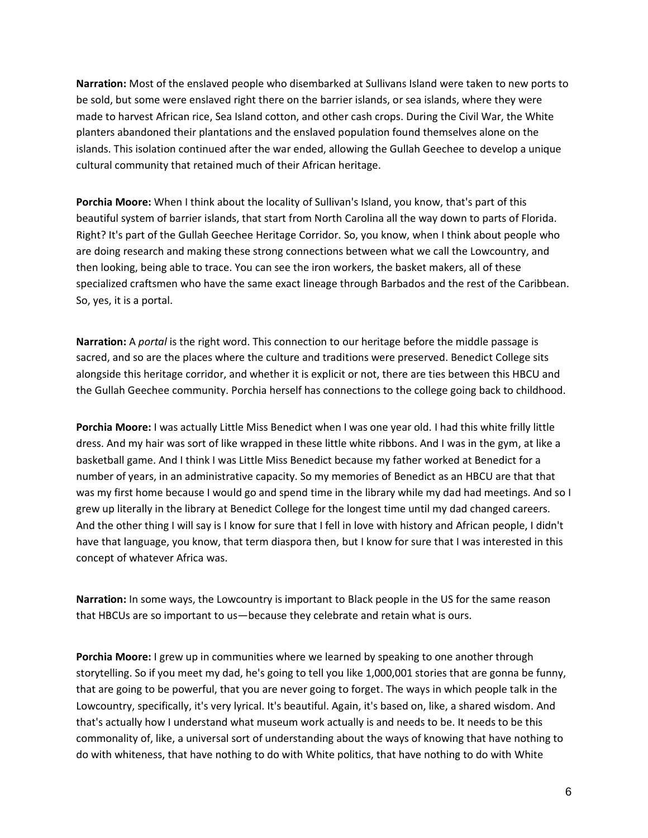**Narration:** Most of the enslaved people who disembarked at Sullivans Island were taken to new ports to be sold, but some were enslaved right there on the barrier islands, or sea islands, where they were made to harvest African rice, Sea Island cotton, and other cash crops. During the Civil War, the White planters abandoned their plantations and the enslaved population found themselves alone on the islands. This isolation continued after the war ended, allowing the Gullah Geechee to develop a unique cultural community that retained much of their African heritage.

**Porchia Moore:** When I think about the locality of Sullivan's Island, you know, that's part of this beautiful system of barrier islands, that start from North Carolina all the way down to parts of Florida. Right? It's part of the Gullah Geechee Heritage Corridor. So, you know, when I think about people who are doing research and making these strong connections between what we call the Lowcountry, and then looking, being able to trace. You can see the iron workers, the basket makers, all of these specialized craftsmen who have the same exact lineage through Barbados and the rest of the Caribbean. So, yes, it is a portal.

**Narration:** A *portal* is the right word. This connection to our heritage before the middle passage is sacred, and so are the places where the culture and traditions were preserved. Benedict College sits alongside this heritage corridor, and whether it is explicit or not, there are ties between this HBCU and the Gullah Geechee community. Porchia herself has connections to the college going back to childhood.

**Porchia Moore:** I was actually Little Miss Benedict when I was one year old. I had this white frilly little dress. And my hair was sort of like wrapped in these little white ribbons. And I was in the gym, at like a basketball game. And I think I was Little Miss Benedict because my father worked at Benedict for a number of years, in an administrative capacity. So my memories of Benedict as an HBCU are that that was my first home because I would go and spend time in the library while my dad had meetings. And so I grew up literally in the library at Benedict College for the longest time until my dad changed careers. And the other thing I will say is I know for sure that I fell in love with history and African people, I didn't have that language, you know, that term diaspora then, but I know for sure that I was interested in this concept of whatever Africa was.

**Narration:** In some ways, the Lowcountry is important to Black people in the US for the same reason that HBCUs are so important to us—because they celebrate and retain what is ours.

**Porchia Moore:** I grew up in communities where we learned by speaking to one another through storytelling. So if you meet my dad, he's going to tell you like 1,000,001 stories that are gonna be funny, that are going to be powerful, that you are never going to forget. The ways in which people talk in the Lowcountry, specifically, it's very lyrical. It's beautiful. Again, it's based on, like, a shared wisdom. And that's actually how I understand what museum work actually is and needs to be. It needs to be this commonality of, like, a universal sort of understanding about the ways of knowing that have nothing to do with whiteness, that have nothing to do with White politics, that have nothing to do with White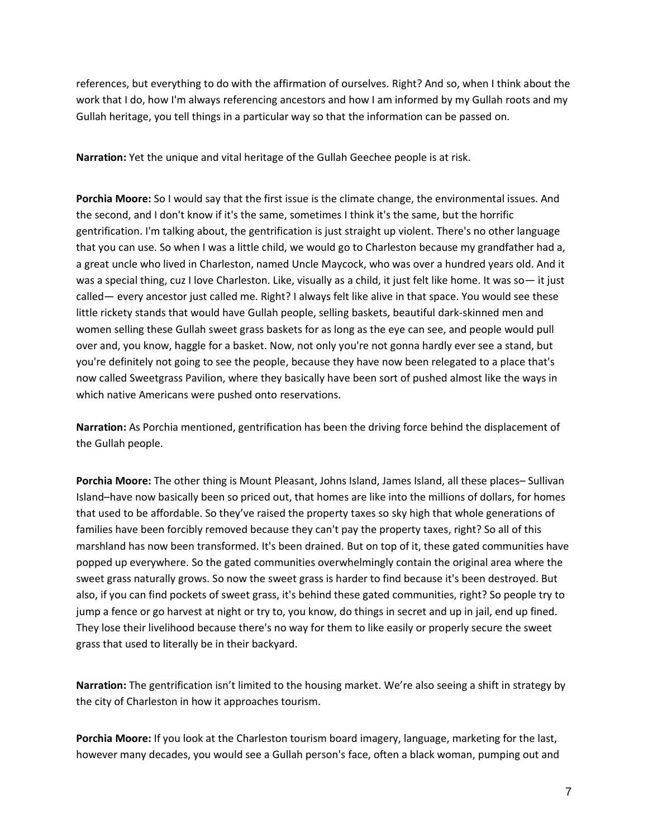references, but everything to do with the affirmation of ourselves. Right? And so, when I think about the work that I do, how I'm always referencing ancestors and how I am informed by my Gullah roots and my Gullah heritage, you tell things in a particular way so that the information can be passed on.

**Narration:** Yet the unique and vital heritage of the Gullah Geechee people is at risk.

**Porchia Moore:** So I would say that the first issue is the climate change, the environmental issues. And the second, and I don't know if it's the same, sometimes I think it's the same, but the horrific gentrification. I'm talking about, the gentrification is just straight up violent. There's no other language that you can use. So when I was a little child, we would go to Charleston because my grandfather had a, a great uncle who lived in Charleston, named Uncle Maycock, who was over a hundred years old. And it was a special thing, cuz I love Charleston. Like, visually as a child, it just felt like home. It was so— it just called— every ancestor just called me. Right? I always felt like alive in that space. You would see these little rickety stands that would have Gullah people, selling baskets, beautiful dark-skinned men and women selling these Gullah sweet grass baskets for as long as the eye can see, and people would pull over and, you know, haggle for a basket. Now, not only you're not gonna hardly ever see a stand, but you're definitely not going to see the people, because they have now been relegated to a place that's now called Sweetgrass Pavilion, where they basically have been sort of pushed almost like the ways in which native Americans were pushed onto reservations.

**Narration:** As Porchia mentioned, gentrification has been the driving force behind the displacement of the Gullah people.

**Porchia Moore:** The other thing is Mount Pleasant, Johns Island, James Island, all these places– Sullivan Island–have now basically been so priced out, that homes are like into the millions of dollars, for homes that used to be affordable. So they've raised the property taxes so sky high that whole generations of families have been forcibly removed because they can't pay the property taxes, right? So all of this marshland has now been transformed. It's been drained. But on top of it, these gated communities have popped up everywhere. So the gated communities overwhelmingly contain the original area where the sweet grass naturally grows. So now the sweet grass is harder to find because it's been destroyed. But also, if you can find pockets of sweet grass, it's behind these gated communities, right? So people try to jump a fence or go harvest at night or try to, you know, do things in secret and up in jail, end up fined. They lose their livelihood because there's no way for them to like easily or properly secure the sweet grass that used to literally be in their backyard.

**Narration:** The gentrification isn't limited to the housing market. We're also seeing a shift in strategy by the city of Charleston in how it approaches tourism.

**Porchia Moore:** If you look at the Charleston tourism board imagery, language, marketing for the last, however many decades, you would see a Gullah person's face, often a black woman, pumping out and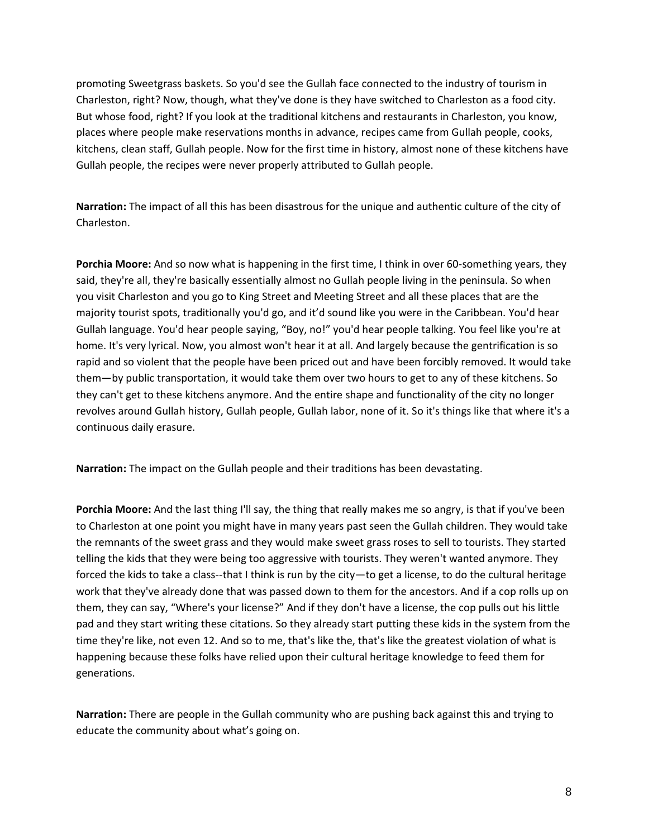promoting Sweetgrass baskets. So you'd see the Gullah face connected to the industry of tourism in Charleston, right? Now, though, what they've done is they have switched to Charleston as a food city. But whose food, right? If you look at the traditional kitchens and restaurants in Charleston, you know, places where people make reservations months in advance, recipes came from Gullah people, cooks, kitchens, clean staff, Gullah people. Now for the first time in history, almost none of these kitchens have Gullah people, the recipes were never properly attributed to Gullah people.

**Narration:** The impact of all this has been disastrous for the unique and authentic culture of the city of Charleston.

**Porchia Moore:** And so now what is happening in the first time, I think in over 60-something years, they said, they're all, they're basically essentially almost no Gullah people living in the peninsula. So when you visit Charleston and you go to King Street and Meeting Street and all these places that are the majority tourist spots, traditionally you'd go, and it'd sound like you were in the Caribbean. You'd hear Gullah language. You'd hear people saying, "Boy, no!" you'd hear people talking. You feel like you're at home. It's very lyrical. Now, you almost won't hear it at all. And largely because the gentrification is so rapid and so violent that the people have been priced out and have been forcibly removed. It would take them—by public transportation, it would take them over two hours to get to any of these kitchens. So they can't get to these kitchens anymore. And the entire shape and functionality of the city no longer revolves around Gullah history, Gullah people, Gullah labor, none of it. So it's things like that where it's a continuous daily erasure.

**Narration:** The impact on the Gullah people and their traditions has been devastating.

**Porchia Moore:** And the last thing I'll say, the thing that really makes me so angry, is that if you've been to Charleston at one point you might have in many years past seen the Gullah children. They would take the remnants of the sweet grass and they would make sweet grass roses to sell to tourists. They started telling the kids that they were being too aggressive with tourists. They weren't wanted anymore. They forced the kids to take a class--that I think is run by the city—to get a license, to do the cultural heritage work that they've already done that was passed down to them for the ancestors. And if a cop rolls up on them, they can say, "Where's your license?" And if they don't have a license, the cop pulls out his little pad and they start writing these citations. So they already start putting these kids in the system from the time they're like, not even 12. And so to me, that's like the, that's like the greatest violation of what is happening because these folks have relied upon their cultural heritage knowledge to feed them for generations.

**Narration:** There are people in the Gullah community who are pushing back against this and trying to educate the community about what's going on.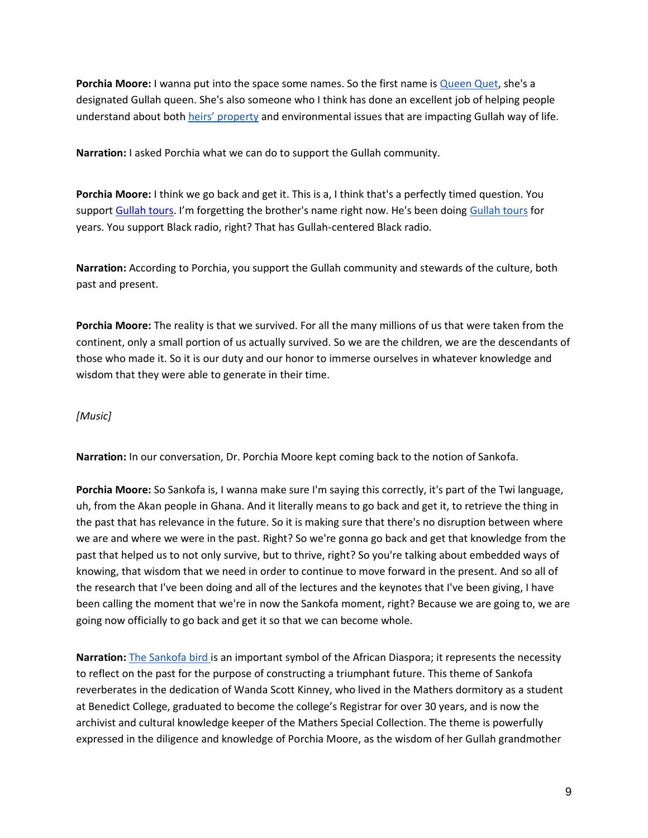**Porchia Moore:** I wanna put into the space some names. So the first name is [Queen Quet,](https://www.queenquet.com/) she's a designated Gullah queen. She's also someone who I think has done an excellent job of helping people understand about both [heirs' property](https://grist.org/fix/what-is-heirs-property-a-huge-contributor-to-black-land-loss-you-might-not-have-heard-of/) and environmental issues that are impacting Gullah way of life.

**Narration:** I asked Porchia what we can do to support the Gullah community.

**Porchia Moore:** I think we go back and get it. This is a, I think that's a perfectly timed question. You suppo[rt](https://gullahtours.com/tour-information/) [Gullah tours.](https://gullahtours.com/tour-information/) I'm forgetting the brother's name right now. He's been doing [Gullah tours](https://gullahgeecheetours.com/) for years. You support Black radio, right? That has Gullah-centered Black radio.

**Narration:** According to Porchia, you support the Gullah community and stewards of the culture, both past and present.

**Porchia Moore:** The reality is that we survived. For all the many millions of us that were taken from the continent, only a small portion of us actually survived. So we are the children, we are the descendants of those who made it. So it is our duty and our honor to immerse ourselves in whatever knowledge and wisdom that they were able to generate in their time.

#### *[Music]*

**Narration:** In our conversation, Dr. Porchia Moore kept coming back to the notion of Sankofa.

**Porchia Moore:** So Sankofa is, I wanna make sure I'm saying this correctly, it's part of the Twi language, uh, from the Akan people in Ghana. And it literally means to go back and get it, to retrieve the thing in the past that has relevance in the future. So it is making sure that there's no disruption between where we are and where we were in the past. Right? So we're gonna go back and get that knowledge from the past that helped us to not only survive, but to thrive, right? So you're talking about embedded ways of knowing, that wisdom that we need in order to continue to move forward in the present. And so all of the research that I've been doing and all of the lectures and the keynotes that I've been giving, I have been calling the moment that we're in now the Sankofa moment, right? Because we are going to, we are going now officially to go back and get it so that we can become whole.

**Narration:** [The Sankofa bird is](https://cola.siu.edu/africanastudies/about-us/sankofa.php) an important symbol of the African Diaspora; it represents the necessity to reflect on the past for the purpose of constructing a triumphant future. This theme of Sankofa reverberates in the dedication of Wanda Scott Kinney, who lived in the Mathers dormitory as a student at Benedict College, graduated to become the college's Registrar for over 30 years, and is now the archivist and cultural knowledge keeper of the Mathers Special Collection. The theme is powerfully expressed in the diligence and knowledge of Porchia Moore, as the wisdom of her Gullah grandmother